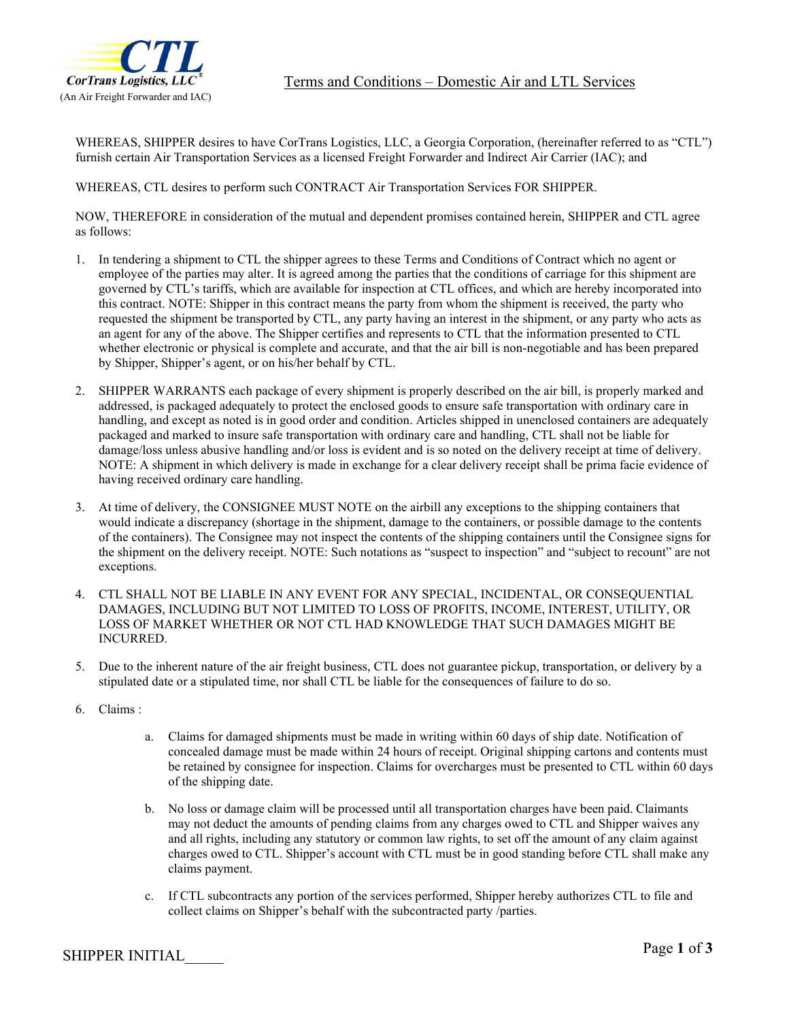

WHEREAS, SHIPPER desires to have CorTrans Logistics, LLC, a Georgia Corporation, (hereinafter referred to as "CTL") furnish certain Air Transportation Services as a licensed Freight Forwarder and Indirect Air Carrier (IAC); and

WHEREAS, CTL desires to perform such CONTRACT Air Transportation Services FOR SHIPPER.

NOW, THEREFORE in consideration of the mutual and dependent promises contained herein, SHIPPER and CTL agree as follows:

- 1. In tendering a shipment to CTL the shipper agrees to these Terms and Conditions of Contract which no agent or employee of the parties may alter. It is agreed among the parties that the conditions of carriage for this shipment are governed by CTL's tariffs, which are available for inspection at CTL offices, and which are hereby incorporated into this contract. NOTE: Shipper in this contract means the party from whom the shipment is received, the party who requested the shipment be transported by CTL, any party having an interest in the shipment, or any party who acts as an agent for any of the above. The Shipper certifies and represents to CTL that the information presented to CTL whether electronic or physical is complete and accurate, and that the air bill is non-negotiable and has been prepared by Shipper, Shipper's agent, or on his/her behalf by CTL.
- 2. SHIPPER WARRANTS each package of every shipment is properly described on the air bill, is properly marked and addressed, is packaged adequately to protect the enclosed goods to ensure safe transportation with ordinary care in handling, and except as noted is in good order and condition. Articles shipped in unenclosed containers are adequately packaged and marked to insure safe transportation with ordinary care and handling, CTL shall not be liable for damage/loss unless abusive handling and/or loss is evident and is so noted on the delivery receipt at time of delivery. NOTE: A shipment in which delivery is made in exchange for a clear delivery receipt shall be prima facie evidence of having received ordinary care handling.
- 3. At time of delivery, the CONSIGNEE MUST NOTE on the airbill any exceptions to the shipping containers that would indicate a discrepancy (shortage in the shipment, damage to the containers, or possible damage to the contents of the containers). The Consignee may not inspect the contents of the shipping containers until the Consignee signs for the shipment on the delivery receipt. NOTE: Such notations as "suspect to inspection" and "subject to recount" are not exceptions.
- 4. CTL SHALL NOT BE LIABLE IN ANY EVENT FOR ANY SPECIAL, INCIDENTAL, OR CONSEQUENTIAL DAMAGES, INCLUDING BUT NOT LIMITED TO LOSS OF PROFITS, INCOME, INTEREST, UTILITY, OR LOSS OF MARKET WHETHER OR NOT CTL HAD KNOWLEDGE THAT SUCH DAMAGES MIGHT BE INCURRED.
- 5. Due to the inherent nature of the air freight business, CTL does not guarantee pickup, transportation, or delivery by a stipulated date or a stipulated time, nor shall CTL be liable for the consequences of failure to do so.
- 6. Claims :
	- a. Claims for damaged shipments must be made in writing within 60 days of ship date. Notification of concealed damage must be made within 24 hours of receipt. Original shipping cartons and contents must be retained by consignee for inspection. Claims for overcharges must be presented to CTL within 60 days of the shipping date.
	- b. No loss or damage claim will be processed until all transportation charges have been paid. Claimants may not deduct the amounts of pending claims from any charges owed to CTL and Shipper waives any and all rights, including any statutory or common law rights, to set off the amount of any claim against charges owed to CTL. Shipper's account with CTL must be in good standing before CTL shall make any claims payment.
	- c. If CTL subcontracts any portion of the services performed, Shipper hereby authorizes CTL to file and collect claims on Shipper's behalf with the subcontracted party /parties.

**Page 1** of 3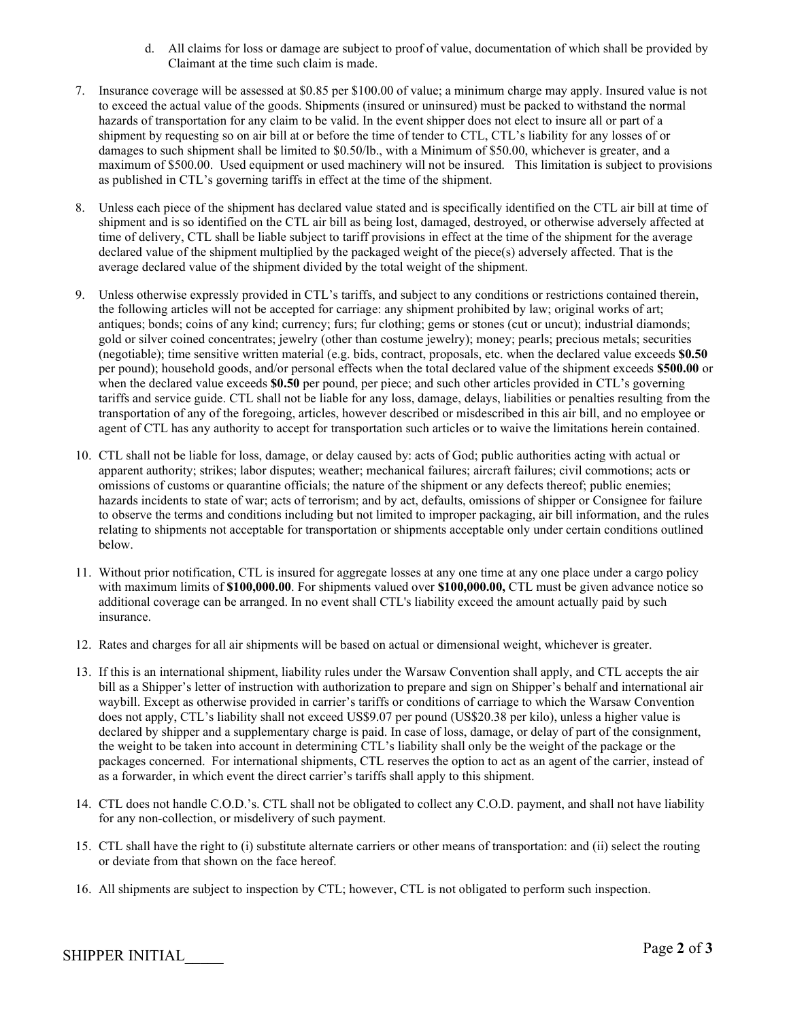- d. All claims for loss or damage are subject to proof of value, documentation of which shall be provided by Claimant at the time such claim is made.
- 7. Insurance coverage will be assessed at \$0.85 per \$100.00 of value; a minimum charge may apply. Insured value is not to exceed the actual value of the goods. Shipments (insured or uninsured) must be packed to withstand the normal hazards of transportation for any claim to be valid. In the event shipper does not elect to insure all or part of a shipment by requesting so on air bill at or before the time of tender to CTL, CTL's liability for any losses of or damages to such shipment shall be limited to \$0.50/lb., with a Minimum of \$50.00, whichever is greater, and a maximum of \$500.00. Used equipment or used machinery will not be insured. This limitation is subject to provisions as published in CTL's governing tariffs in effect at the time of the shipment.
- 8. Unless each piece of the shipment has declared value stated and is specifically identified on the CTL air bill at time of shipment and is so identified on the CTL air bill as being lost, damaged, destroyed, or otherwise adversely affected at time of delivery, CTL shall be liable subject to tariff provisions in effect at the time of the shipment for the average declared value of the shipment multiplied by the packaged weight of the piece(s) adversely affected. That is the average declared value of the shipment divided by the total weight of the shipment.
- 9. Unless otherwise expressly provided in CTL's tariffs, and subject to any conditions or restrictions contained therein, the following articles will not be accepted for carriage: any shipment prohibited by law; original works of art; antiques; bonds; coins of any kind; currency; furs; fur clothing; gems or stones (cut or uncut); industrial diamonds; gold or silver coined concentrates; jewelry (other than costume jewelry); money; pearls; precious metals; securities (negotiable); time sensitive written material (e.g. bids, contract, proposals, etc. when the declared value exceeds **\$0.50** per pound); household goods, and/or personal effects when the total declared value of the shipment exceeds **\$500.00** or when the declared value exceeds **\$0.50** per pound, per piece; and such other articles provided in CTL's governing tariffs and service guide. CTL shall not be liable for any loss, damage, delays, liabilities or penalties resulting from the transportation of any of the foregoing, articles, however described or misdescribed in this air bill, and no employee or agent of CTL has any authority to accept for transportation such articles or to waive the limitations herein contained.
- 10. CTL shall not be liable for loss, damage, or delay caused by: acts of God; public authorities acting with actual or apparent authority; strikes; labor disputes; weather; mechanical failures; aircraft failures; civil commotions; acts or omissions of customs or quarantine officials; the nature of the shipment or any defects thereof; public enemies; hazards incidents to state of war; acts of terrorism; and by act, defaults, omissions of shipper or Consignee for failure to observe the terms and conditions including but not limited to improper packaging, air bill information, and the rules relating to shipments not acceptable for transportation or shipments acceptable only under certain conditions outlined below.
- 11. Without prior notification, CTL is insured for aggregate losses at any one time at any one place under a cargo policy with maximum limits of **\$100,000.00**. For shipments valued over **\$100,000.00,** CTL must be given advance notice so additional coverage can be arranged. In no event shall CTL's liability exceed the amount actually paid by such insurance.
- 12. Rates and charges for all air shipments will be based on actual or dimensional weight, whichever is greater.
- 13. If this is an international shipment, liability rules under the Warsaw Convention shall apply, and CTL accepts the air bill as a Shipper's letter of instruction with authorization to prepare and sign on Shipper's behalf and international air waybill. Except as otherwise provided in carrier's tariffs or conditions of carriage to which the Warsaw Convention does not apply, CTL's liability shall not exceed US\$9.07 per pound (US\$20.38 per kilo), unless a higher value is declared by shipper and a supplementary charge is paid. In case of loss, damage, or delay of part of the consignment, the weight to be taken into account in determining CTL's liability shall only be the weight of the package or the packages concerned. For international shipments, CTL reserves the option to act as an agent of the carrier, instead of as a forwarder, in which event the direct carrier's tariffs shall apply to this shipment.
- 14. CTL does not handle C.O.D.'s. CTL shall not be obligated to collect any C.O.D. payment, and shall not have liability for any non-collection, or misdelivery of such payment.
- 15. CTL shall have the right to (i) substitute alternate carriers or other means of transportation: and (ii) select the routing or deviate from that shown on the face hereof.
- 16. All shipments are subject to inspection by CTL; however, CTL is not obligated to perform such inspection.

**Page 2** of 3